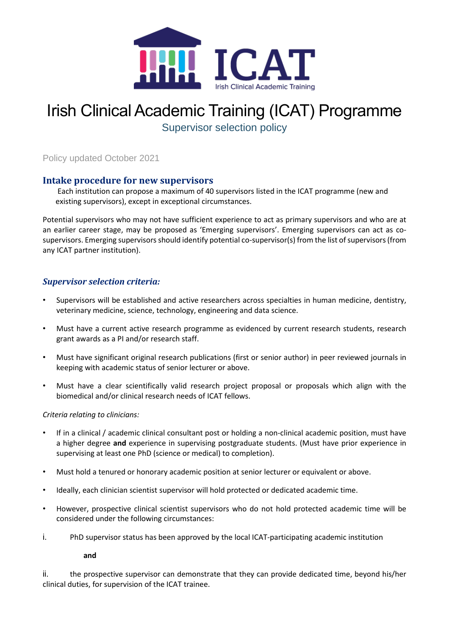

# Irish Clinical Academic Training (ICAT) Programme

Supervisor selection policy

Policy updated October 2021

## **Intake procedure for new supervisors**

Each institution can propose a maximum of 40 supervisors listed in the ICAT programme (new and existing supervisors), except in exceptional circumstances.

Potential supervisors who may not have sufficient experience to act as primary supervisors and who are at an earlier career stage, may be proposed as 'Emerging supervisors'. Emerging supervisors can act as cosupervisors. Emerging supervisors should identify potential co-supervisor(s) from the list of supervisors (from any ICAT partner institution).

### *Supervisor selection criteria:*

- Supervisors will be established and active researchers across specialties in human medicine, dentistry, veterinary medicine, science, technology, engineering and data science.
- Must have a current active research programme as evidenced by current research students, research grant awards as a PI and/or research staff.
- Must have significant original research publications (first or senior author) in peer reviewed journals in keeping with academic status of senior lecturer or above.
- Must have a clear scientifically valid research project proposal or proposals which align with the biomedical and/or clinical research needs of ICAT fellows.

#### *Criteria relating to clinicians:*

- If in a clinical / academic clinical consultant post or holding a non-clinical academic position, must have a higher degree **and** experience in supervising postgraduate students. (Must have prior experience in supervising at least one PhD (science or medical) to completion).
- Must hold a tenured or honorary academic position at senior lecturer or equivalent or above.
- Ideally, each clinician scientist supervisor will hold protected or dedicated academic time.
- However, prospective clinical scientist supervisors who do not hold protected academic time will be considered under the following circumstances:
- i. PhD supervisor status has been approved by the local ICAT-participating academic institution

**and**

ii. the prospective supervisor can demonstrate that they can provide dedicated time, beyond his/her clinical duties, for supervision of the ICAT trainee.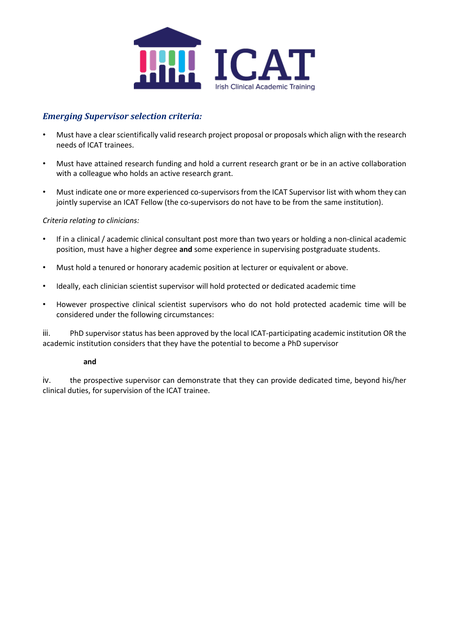

## *Emerging Supervisor selection criteria:*

- Must have a clear scientifically valid research project proposal or proposals which align with the research needs of ICAT trainees.
- Must have attained research funding and hold a current research grant or be in an active collaboration with a colleague who holds an active research grant.
- Must indicate one or more experienced co-supervisors from the ICAT Supervisor list with whom they can jointly supervise an ICAT Fellow (the co-supervisors do not have to be from the same institution).

#### *Criteria relating to clinicians:*

- If in a clinical / academic clinical consultant post more than two years or holding a non-clinical academic position, must have a higher degree **and** some experience in supervising postgraduate students.
- Must hold a tenured or honorary academic position at lecturer or equivalent or above.
- Ideally, each clinician scientist supervisor will hold protected or dedicated academic time
- However prospective clinical scientist supervisors who do not hold protected academic time will be considered under the following circumstances:

iii. PhD supervisor status has been approved by the local ICAT-participating academic institution OR the academic institution considers that they have the potential to become a PhD supervisor

#### **and**

iv. the prospective supervisor can demonstrate that they can provide dedicated time, beyond his/her clinical duties, for supervision of the ICAT trainee.